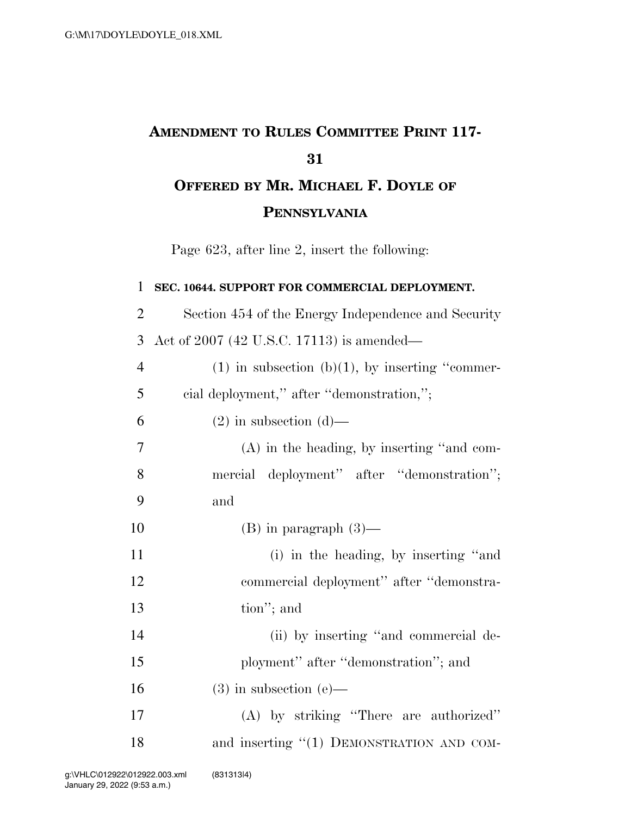## **AMENDMENT TO RULES COMMITTEE PRINT 117- OFFERED BY MR. MICHAEL F. DOYLE OF**

**PENNSYLVANIA**

Page 623, after line 2, insert the following:

| 1              | SEC. 10644. SUPPORT FOR COMMERCIAL DEPLOYMENT.       |
|----------------|------------------------------------------------------|
| $\overline{2}$ | Section 454 of the Energy Independence and Security  |
| 3              | Act of 2007 (42 U.S.C. 17113) is amended—            |
| $\overline{4}$ | $(1)$ in subsection $(b)(1)$ , by inserting "commer- |
| 5              | cial deployment," after "demonstration,";            |
| 6              | $(2)$ in subsection $(d)$ —                          |
| 7              | $(A)$ in the heading, by inserting "and com-         |
| 8              | mercial deployment" after "demonstration";           |
| 9              | and                                                  |
| 10             | $(B)$ in paragraph $(3)$ —                           |
| 11             | (i) in the heading, by inserting "and                |
| 12             | commercial deployment" after "demonstra-             |
| 13             | tion"; and                                           |
| 14             | (ii) by inserting "and commercial de-                |
| 15             | ployment" after "demonstration"; and                 |
| 16             | $(3)$ in subsection $(e)$ —                          |
| 17             | (A) by striking "There are authorized"               |
| 18             | and inserting "(1) DEMONSTRATION AND COM-            |